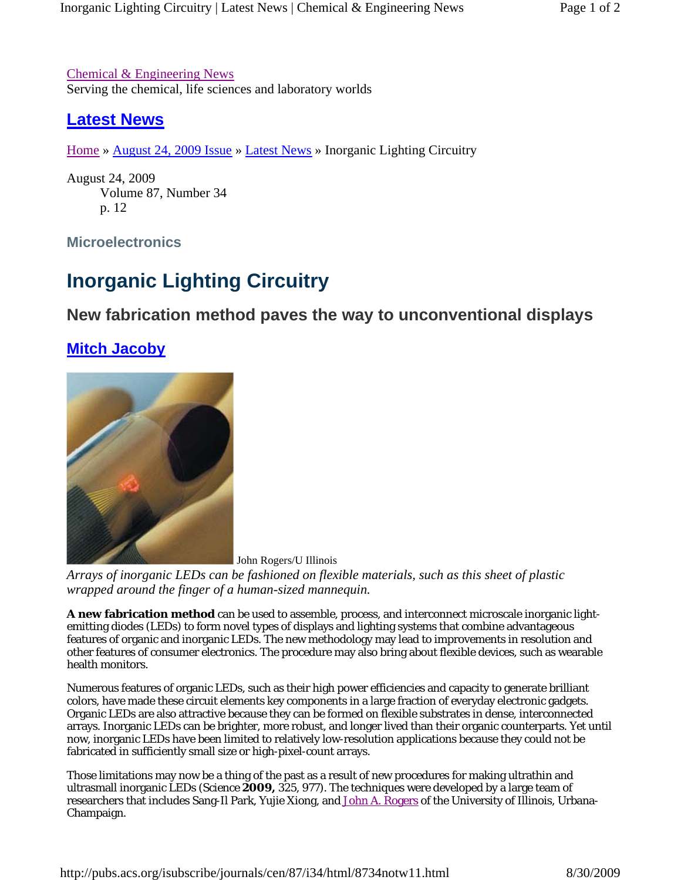Chemical & Engineering News Serving the chemical, life sciences and laboratory worlds

## **Latest News**

Home » August 24, 2009 Issue » Latest News » Inorganic Lighting Circuitry

August 24, 2009 Volume 87, Number 34 p. 12

**Microelectronics**

## **Inorganic Lighting Circuitry**

## **New fabrication method paves the way to unconventional displays**

## **Mitch Jacoby**



John Rogers/U Illinois

*Arrays of inorganic LEDs can be fashioned on flexible materials, such as this sheet of plastic wrapped around the finger of a human-sized mannequin.*

**A new fabrication method** can be used to assemble, process, and interconnect microscale inorganic lightemitting diodes (LEDs) to form novel types of displays and lighting systems that combine advantageous features of organic and inorganic LEDs. The new methodology may lead to improvements in resolution and other features of consumer electronics. The procedure may also bring about flexible devices, such as wearable health monitors.

Numerous features of organic LEDs, such as their high power efficiencies and capacity to generate brilliant colors, have made these circuit elements key components in a large fraction of everyday electronic gadgets. Organic LEDs are also attractive because they can be formed on flexible substrates in dense, interconnected arrays. Inorganic LEDs can be brighter, more robust, and longer lived than their organic counterparts. Yet until now, inorganic LEDs have been limited to relatively low-resolution applications because they could not be fabricated in sufficiently small size or high-pixel-count arrays.

Those limitations may now be a thing of the past as a result of new procedures for making ultrathin and ultrasmall inorganic LEDs (*Science* **2009,** *325,* 977). The techniques were developed by a large team of researchers that includes Sang-Il Park, Yujie Xiong, and John A. Rogers of the University of Illinois, Urbana-Champaign.